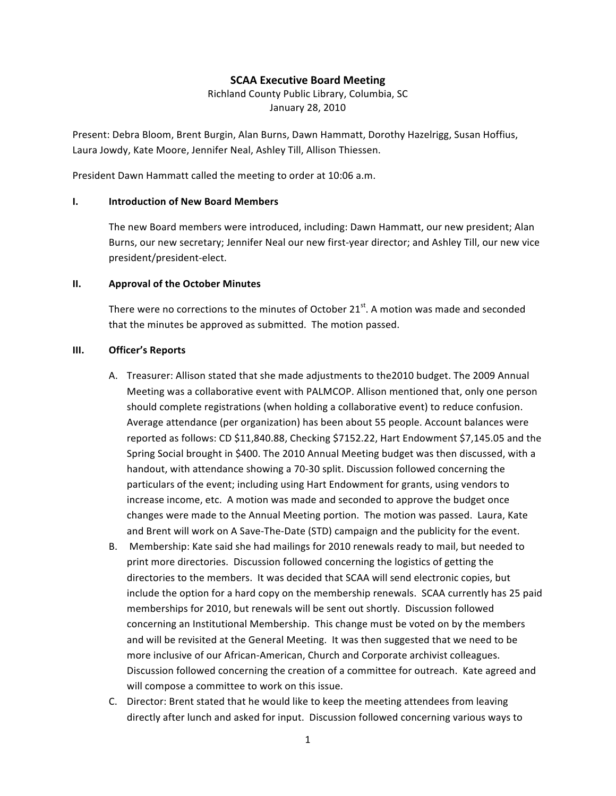## **SCAA
Executive
Board
Meeting**

Richland
County
Public
Library,
Columbia,
SC January
28,
2010

Present: Debra Bloom, Brent Burgin, Alan Burns, Dawn Hammatt, Dorothy Hazelrigg, Susan Hoffius, Laura
Jowdy,
Kate
Moore,
Jennifer
Neal,
Ashley
Till,
Allison
Thiessen.

President Dawn Hammatt called the meeting to order at 10:06 a.m.

#### **I. Introduction
of
New
Board
Members**

The
new
Board
members
were
introduced,
including:
Dawn
Hammatt,
our
new
president;
Alan Burns, our new secretary; Jennifer Neal our new first-year director; and Ashley Till, our new vice president/president‐elect.

#### **II. Approval
of
the
October
Minutes**

There were no corrections to the minutes of October  $21^{st}$ . A motion was made and seconded that
the
minutes
be
approved
as
submitted.

The
motion
passed.

#### **III. Officer's
Reports**

- A. Treasurer: Allison stated that she made adjustments to the2010 budget. The 2009 Annual Meeting was a collaborative event with PALMCOP. Allison mentioned that, only one person should complete registrations (when holding a collaborative event) to reduce confusion. Average
attendance
(per
organization)
has
been
about
55
people. Account
balances
were reported as follows: CD \$11,840.88, Checking \$7152.22, Hart Endowment \$7,145.05 and the Spring Social brought in \$400. The 2010 Annual Meeting budget was then discussed, with a handout, with attendance showing a 70-30 split. Discussion followed concerning the particulars
of
the
event;
including
using
Hart
Endowment
for
grants,
using
vendors
to increase income, etc. A motion was made and seconded to approve the budget once changes were made to the Annual Meeting portion. The motion was passed. Laura, Kate and Brent will work on A Save-The-Date (STD) campaign and the publicity for the event.
- B. Membership: Kate said she had mailings for 2010 renewals ready to mail, but needed to print
more
directories.

Discussion
followed
concerning
the
logistics
of
getting
the directories to the members. It was decided that SCAA will send electronic copies, but include the option for a hard copy on the membership renewals. SCAA currently has 25 paid memberships
for
2010,
but
renewals
will
be
sent
out
shortly.

Discussion
followed concerning an Institutional Membership. This change must be voted on by the members and will be revisited at the General Meeting. It was then suggested that we need to be more inclusive of our African-American, Church and Corporate archivist colleagues. Discussion followed concerning the creation of a committee for outreach. Kate agreed and will compose a committee to work on this issue.
- C. Director:
Brent
stated
that
he
would
like
to
keep
the
meeting
attendees
from
leaving directly after lunch and asked for input. Discussion followed concerning various ways to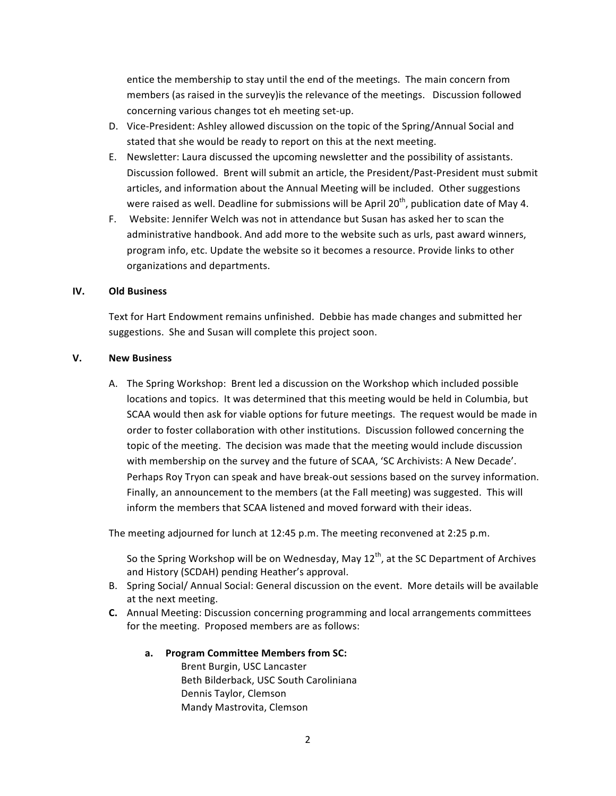entice the membership to stay until the end of the meetings. The main concern from members (as raised in the survey) is the relevance of the meetings. Discussion followed concerning
various
changes
tot
eh
meeting
set‐up.

- D. Vice-President: Ashley allowed discussion on the topic of the Spring/Annual Social and stated
that
she
would
be
ready
to
report
on
this
at
the
next
meeting.
- E. Newsletter:
Laura
discussed
the
upcoming
newsletter
and
the
possibility
of
assistants. Discussion followed. Brent will submit an article, the President/Past-President must submit articles, and information about the Annual Meeting will be included. Other suggestions were raised as well. Deadline for submissions will be April 20<sup>th</sup>, publication date of May 4.
- F. Website: Jennifer Welch was not in attendance but Susan has asked her to scan the administrative handbook. And add more to the website such as urls, past award winners, program
info,
etc.
Update
the
website
so
it
becomes
a
resource.
Provide
links
to
other organizations
and
departments.

### **IV. Old
Business**

Text for Hart Endowment remains unfinished. Debbie has made changes and submitted her suggestions. She and Susan will complete this project soon.

### **V. New
Business**

A. The
Spring
Workshop:

Brent
led
a
discussion
on
the
Workshop
which
included
possible locations and topics. It was determined that this meeting would be held in Columbia, but SCAA would then ask for viable options for future meetings. The request would be made in order
to
foster
collaboration
with
other
institutions.

Discussion
followed
concerning
the topic
of
the
meeting.

The
decision
was
made
that
the
meeting
would
include
discussion with membership on the survey and the future of SCAA, 'SC Archivists: A New Decade'. Perhaps Roy Tryon can speak and have break-out sessions based on the survey information. Finally, an announcement to the members (at the Fall meeting) was suggested. This will inform
the
members
that
SCAA
listened
and
moved
forward
with
their
ideas.

The meeting adjourned for lunch at 12:45 p.m. The meeting reconvened at 2:25 p.m.

So the Spring Workshop will be on Wednesday, May  $12<sup>th</sup>$ , at the SC Department of Archives and
History
(SCDAH)
pending
Heather's
approval.

- B. Spring Social/ Annual Social: General discussion on the event. More details will be available at
the
next
meeting.
- **C.** Annual Meeting: Discussion concerning programming and local arrangements committees for the meeting. Proposed members are as follows:

### **a. Program
Committee
Members
from
SC:**

Brent
Burgin,
USC
Lancaster Beth
Bilderback,
USC
South
Caroliniana Dennis
Taylor,
Clemson Mandy
Mastrovita,
Clemson